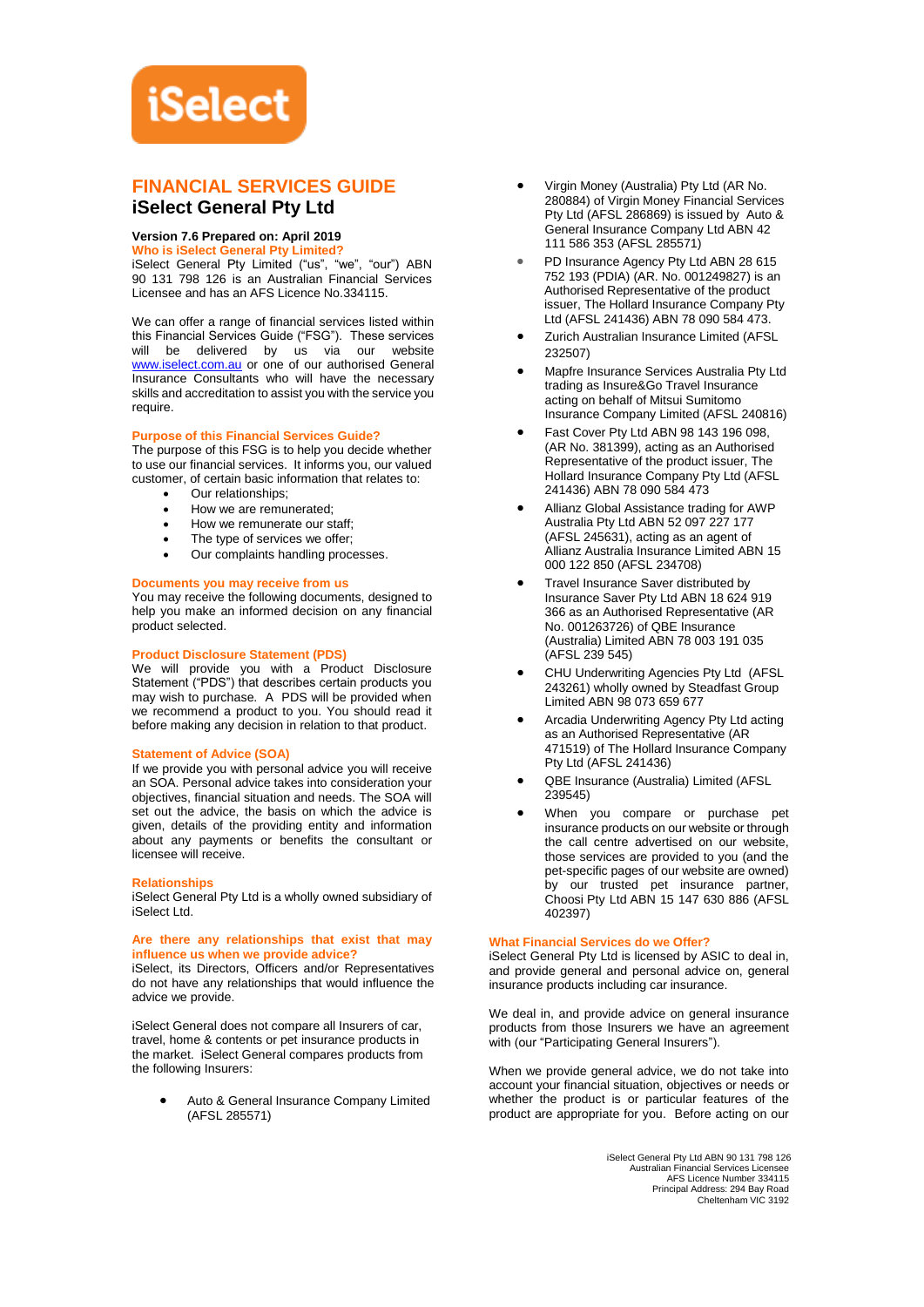# **iSelect**

# **FINANCIAL SERVICES GUIDE iSelect General Pty Ltd**

# **Version 7.6 Prepared on: April 2019**

**Who is iSelect General Pty Limited?**

iSelect General Pty Limited ("us", "we", "our") ABN 90 131 798 126 is an Australian Financial Services Licensee and has an AFS Licence No.334115.

We can offer a range of financial services listed within this Financial Services Guide ("FSG"). These services will be delivered by us via our website [www.iselect.com.au](http://www.iselect.com.au/) or one of our authorised General Insurance Consultants who will have the necessary skills and accreditation to assist you with the service you require.

# **Purpose of this Financial Services Guide?**

The purpose of this FSG is to help you decide whether to use our financial services. It informs you, our valued customer, of certain basic information that relates to:

- Our relationships:
- How we are remunerated;
- How we remunerate our staff:
- The type of services we offer;
- Our complaints handling processes.

# **Documents you may receive from us**

You may receive the following documents, designed to help you make an informed decision on any financial product selected.

# **Product Disclosure Statement (PDS)**

We will provide you with a Product Disclosure Statement ("PDS") that describes certain products you may wish to purchase. A PDS will be provided when we recommend a product to you. You should read it before making any decision in relation to that product.

# **Statement of Advice (SOA)**

If we provide you with personal advice you will receive an SOA. Personal advice takes into consideration your objectives, financial situation and needs. The SOA will set out the advice, the basis on which the advice is given, details of the providing entity and information about any payments or benefits the consultant or licensee will receive.

### **Relationships**

iSelect General Pty Ltd is a wholly owned subsidiary of iSelect Ltd.

# **Are there any relationships that exist that may influence us when we provide advice?**

iSelect, its Directors, Officers and/or Representatives do not have any relationships that would influence the advice we provide.

iSelect General does not compare all Insurers of car, travel, home & contents or pet insurance products in the market. iSelect General compares products from the following Insurers:

> • Auto & General Insurance Company Limited (AFSL 285571)

- Virgin Money (Australia) Pty Ltd (AR No. 280884) of Virgin Money Financial Services Pty Ltd (AFSL 286869) is issued by Auto & General Insurance Company Ltd ABN 42 111 586 353 (AFSL 285571)
- PD Insurance Agency Pty Ltd ABN 28 615 752 193 (PDIA) (AR. No. 001249827) is an Authorised Representative of the product issuer, The Hollard Insurance Company Pty Ltd (AFSL 241436) ABN 78 090 584 473.
- Zurich Australian Insurance Limited (AFSL 232507)
- Mapfre Insurance Services Australia Pty Ltd trading as Insure&Go Travel Insurance acting on behalf of Mitsui Sumitomo Insurance Company Limited (AFSL 240816)
- Fast Cover Pty Ltd ABN 98 143 196 098, (AR No. 381399), acting as an Authorised Representative of the product issuer, The Hollard Insurance Company Pty Ltd (AFSL 241436) ABN 78 090 584 473
- Allianz Global Assistance trading for AWP Australia Pty Ltd ABN 52 097 227 177 (AFSL 245631), acting as an agent of Allianz Australia Insurance Limited ABN 15 000 122 850 (AFSL 234708)
- Travel Insurance Saver distributed by Insurance Saver Pty Ltd ABN 18 624 919 366 as an Authorised Representative (AR No. 001263726) of QBE Insurance (Australia) Limited ABN 78 003 191 035 (AFSL 239 545)
- CHU Underwriting Agencies Pty Ltd (AFSL 243261) wholly owned by Steadfast Group Limited ABN 98 073 659 677
- Arcadia Underwriting Agency Pty Ltd acting as an Authorised Representative (AR 471519) of The Hollard Insurance Company Pty Ltd (AFSL 241436)
- QBE Insurance (Australia) Limited (AFSL 239545)
- When you compare or purchase pet insurance products on our website or through the call centre advertised on our website, those services are provided to you (and the pet-specific pages of our website are owned) by our trusted pet insurance partner, Choosi Pty Ltd ABN 15 147 630 886 (AFSL 402397)

# **What Financial Services do we Offer?**

iSelect General Pty Ltd is licensed by ASIC to deal in, and provide general and personal advice on, general insurance products including car insurance.

We deal in, and provide advice on general insurance products from those Insurers we have an agreement .<br>with (our "Participating General Insurers").

When we provide general advice, we do not take into account your financial situation, objectives or needs or whether the product is or particular features of the product are appropriate for you. Before acting on our

> iSelect General Pty Ltd ABN 90 131 798 126 Australian Financial Services Licensee AFS Licence Number 334115 Principal Address: 294 Bay Road Cheltenham VIC 3192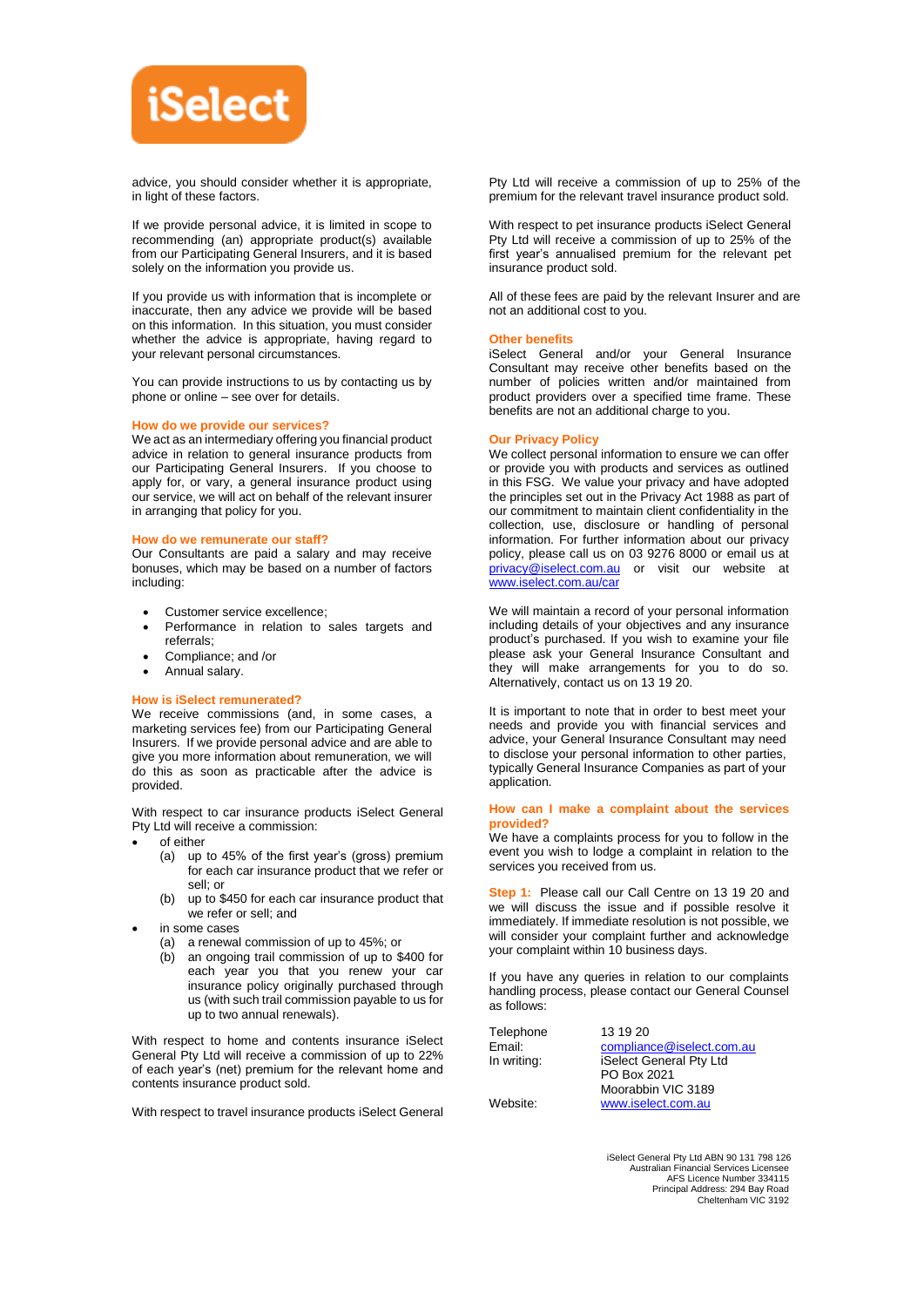

advice, you should consider whether it is appropriate, in light of these factors.

If we provide personal advice, it is limited in scope to recommending (an) appropriate product(s) available from our Participating General Insurers, and it is based solely on the information you provide us.

If you provide us with information that is incomplete or inaccurate, then any advice we provide will be based on this information. In this situation, you must consider whether the advice is appropriate, having regard to your relevant personal circumstances.

You can provide instructions to us by contacting us by phone or online – see over for details.

### **How do we provide our services?**

We act as an intermediary offering you financial product advice in relation to general insurance products from our Participating General Insurers. If you choose to apply for, or vary, a general insurance product using our service, we will act on behalf of the relevant insurer in arranging that policy for you.

### **How do we remunerate our staff?**

Our Consultants are paid a salary and may receive bonuses, which may be based on a number of factors including:

- Customer service excellence;
- Performance in relation to sales targets and referrals;
- Compliance; and /or
- Annual salary.

### **How is iSelect remunerated?**

We receive commissions (and, in some cases, a marketing services fee) from our Participating General Insurers. If we provide personal advice and are able to give you more information about remuneration, we will do this as soon as practicable after the advice is provided.

With respect to car insurance products iSelect General Pty Ltd will receive a commission:

- of either
	- (a) up to 45% of the first year's (gross) premium for each car insurance product that we refer or sell; or
	- (b) up to \$450 for each car insurance product that we refer or sell; and
- in some cases
	- (a) a renewal commission of up to 45%; or
	- (b) an ongoing trail commission of up to \$400 for each year you that you renew your car insurance policy originally purchased through us (with such trail commission payable to us for up to two annual renewals).

With respect to home and contents insurance iSelect General Pty Ltd will receive a commission of up to 22% of each year's (net) premium for the relevant home and contents insurance product sold.

With respect to travel insurance products iSelect General

Pty Ltd will receive a commission of up to 25% of the premium for the relevant travel insurance product sold.

With respect to pet insurance products iSelect General Pty Ltd will receive a commission of up to 25% of the first year's annualised premium for the relevant pet insurance product sold.

All of these fees are paid by the relevant Insurer and are not an additional cost to you.

### **Other benefits**

iSelect General and/or your General Insurance Consultant may receive other benefits based on the number of policies written and/or maintained from product providers over a specified time frame. These benefits are not an additional charge to you.

### **Our Privacy Policy**

We collect personal information to ensure we can offer or provide you with products and services as outlined in this FSG. We value your privacy and have adopted the principles set out in the Privacy Act 1988 as part of our commitment to maintain client confidentiality in the collection, use, disclosure or handling of personal information. For further information about our privacy policy, please call us on 03 9276 8000 or email us at [privacy@iselect.com.au](mailto:privacy@iselect.com.au) or visit our website at [www.iselect.com.au/car](http://www.iselect.com.au/car)

We will maintain a record of your personal information including details of your objectives and any insurance product's purchased. If you wish to examine your file please ask your General Insurance Consultant and they will make arrangements for you to do so. Alternatively, contact us on 13 19 20.

It is important to note that in order to best meet your needs and provide you with financial services and advice, your General Insurance Consultant may need to disclose your personal information to other parties, typically General Insurance Companies as part of your application.

### **How can I make a complaint about the services provided?**

We have a complaints process for you to follow in the event you wish to lodge a complaint in relation to the services you received from us.

**Step 1:** Please call our Call Centre on 13 19 20 and we will discuss the issue and if possible resolve it immediately. If immediate resolution is not possible, we will consider your complaint further and acknowledge your complaint within 10 business days.

If you have any queries in relation to our complaints handling process, please contact our General Counsel as follows:

| Telephone   | 13 19 20                  |
|-------------|---------------------------|
| Email:      | compliance@iselect.com.au |
| In writing: | iSelect General Pty Ltd   |
|             | PO Box 2021               |
|             | Moorabbin VIC 3189        |
| Website:    | www.iselect.com.au        |

iSelect General Pty Ltd ABN 90 131 798 126 Australian Financial Services Licensee AFS Licence Number 334115 Principal Address: 294 Bay Road Cheltenham VIC 3192